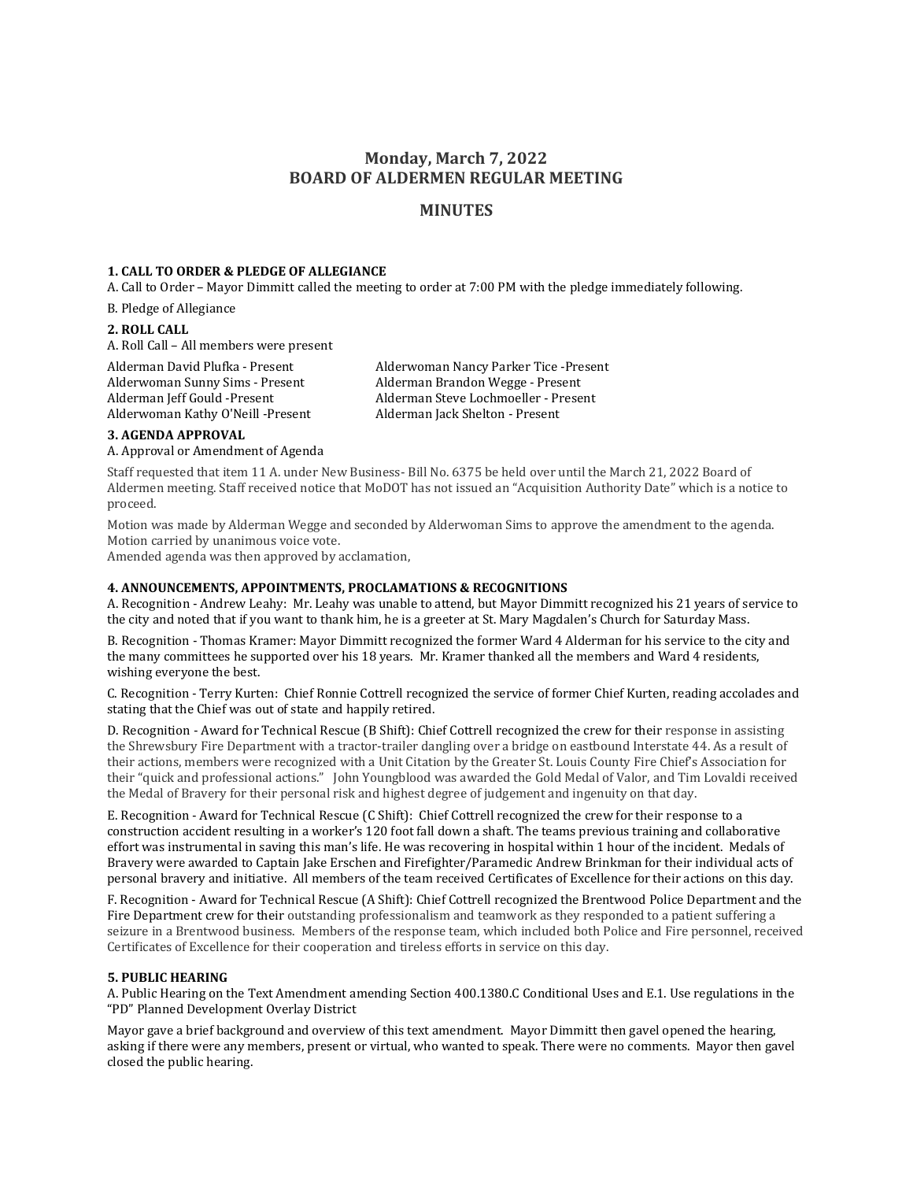# **Monday, March 7, 2022 BOARD OF ALDERMEN REGULAR MEETING**

## **MINUTES**

### **1. CALL TO ORDER & PLEDGE OF ALLEGIANCE**

A. Call to Order – Mayor Dimmitt called the meeting to order at 7:00 PM with the pledge immediately following.

B. Pledge of Allegiance

#### **2. ROLL CALL**

A. Roll Call – All members were present

Alderman David Plufka - Present Alderwoman Nancy Parker Tice -Present Alderwoman Sunny Sims - Present Alderman Brandon Wegge - Present Alderwoman Kathy O'Neill -Present Alderman Jack Shelton - Present

Alderman Jeff Gould -Present Alderman Steve Lochmoeller - Present

## **3. AGENDA APPROVAL**

A. Approval or Amendment of Agenda

Staff requested that item 11 A. under New Business- Bill No. 6375 be held over until the March 21, 2022 Board of Aldermen meeting. Staff received notice that MoDOT has not issued an "Acquisition Authority Date" which is a notice to proceed.

Motion was made by Alderman Wegge and seconded by Alderwoman Sims to approve the amendment to the agenda. Motion carried by unanimous voice vote.

Amended agenda was then approved by acclamation,

#### **4. ANNOUNCEMENTS, APPOINTMENTS, PROCLAMATIONS & RECOGNITIONS**

A. Recognition - Andrew Leahy: Mr. Leahy was unable to attend, but Mayor Dimmitt recognized his 21 years of service to the city and noted that if you want to thank him, he is a greeter at St. Mary Magdalen's Church for Saturday Mass.

B. Recognition - Thomas Kramer: Mayor Dimmitt recognized the former Ward 4 Alderman for his service to the city and the many committees he supported over his 18 years. Mr. Kramer thanked all the members and Ward 4 residents, wishing everyone the best.

C. Recognition - Terry Kurten: Chief Ronnie Cottrell recognized the service of former Chief Kurten, reading accolades and stating that the Chief was out of state and happily retired.

D. Recognition - Award for Technical Rescue (B Shift): Chief Cottrell recognized the crew for their response in assisting the Shrewsbury Fire Department with a tractor-trailer dangling over a bridge on eastbound Interstate 44. As a result of their actions, members were recognized with a Unit Citation by the Greater St. Louis County Fire Chief's Association for their "quick and professional actions." John Youngblood was awarded the Gold Medal of Valor, and Tim Lovaldi received the Medal of Bravery for their personal risk and highest degree of judgement and ingenuity on that day.

E. Recognition - Award for Technical Rescue (C Shift): Chief Cottrell recognized the crew for their response to a construction accident resulting in a worker's 120 foot fall down a shaft. The teams previous training and collaborative effort was instrumental in saving this man's life. He was recovering in hospital within 1 hour of the incident. Medals of Bravery were awarded to Captain Jake Erschen and Firefighter/Paramedic Andrew Brinkman for their individual acts of personal bravery and initiative. All members of the team received Certificates of Excellence for their actions on this day.

F. Recognition - Award for Technical Rescue (A Shift): Chief Cottrell recognized the Brentwood Police Department and the Fire Department crew for their outstanding professionalism and teamwork as they responded to a patient suffering a seizure in a Brentwood business. Members of the response team, which included both Police and Fire personnel, received Certificates of Excellence for their cooperation and tireless efforts in service on this day.

## **5. PUBLIC HEARING**

A. Public Hearing on the Text Amendment amending Section 400.1380.C Conditional Uses and E.1. Use regulations in the "PD" Planned Development Overlay District

Mayor gave a brief background and overview of this text amendment. Mayor Dimmitt then gavel opened the hearing, asking if there were any members, present or virtual, who wanted to speak. There were no comments. Mayor then gavel closed the public hearing.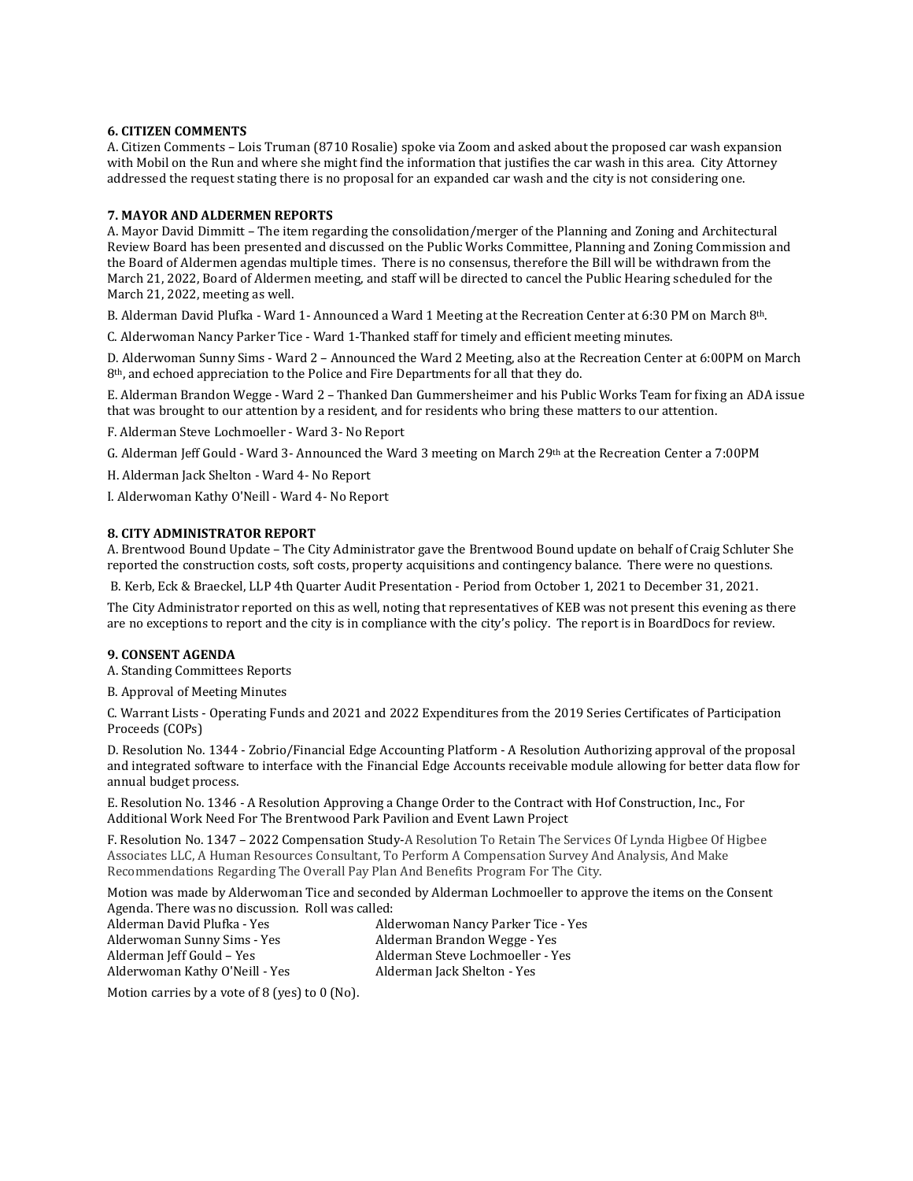#### **6. CITIZEN COMMENTS**

A. Citizen Comments – Lois Truman (8710 Rosalie) spoke via Zoom and asked about the proposed car wash expansion with Mobil on the Run and where she might find the information that justifies the car wash in this area. City Attorney addressed the request stating there is no proposal for an expanded car wash and the city is not considering one.

#### **7. MAYOR AND ALDERMEN REPORTS**

A. Mayor David Dimmitt – The item regarding the consolidation/merger of the Planning and Zoning and Architectural Review Board has been presented and discussed on the Public Works Committee, Planning and Zoning Commission and the Board of Aldermen agendas multiple times. There is no consensus, therefore the Bill will be withdrawn from the March 21, 2022, Board of Aldermen meeting, and staff will be directed to cancel the Public Hearing scheduled for the March 21, 2022, meeting as well.

B. Alderman David Plufka - Ward 1- Announced a Ward 1 Meeting at the Recreation Center at 6:30 PM on March 8th.

C. Alderwoman Nancy Parker Tice - Ward 1-Thanked staff for timely and efficient meeting minutes.

D. Alderwoman Sunny Sims - Ward 2 – Announced the Ward 2 Meeting, also at the Recreation Center at 6:00PM on March 8th, and echoed appreciation to the Police and Fire Departments for all that they do.

E. Alderman Brandon Wegge - Ward 2 – Thanked Dan Gummersheimer and his Public Works Team for fixing an ADA issue that was brought to our attention by a resident, and for residents who bring these matters to our attention.

F. Alderman Steve Lochmoeller - Ward 3- No Report

G. Alderman Jeff Gould - Ward 3- Announced the Ward 3 meeting on March 29th at the Recreation Center a 7:00PM

H. Alderman Jack Shelton - Ward 4- No Report

I. Alderwoman Kathy O'Neill - Ward 4- No Report

## **8. CITY ADMINISTRATOR REPORT**

A. Brentwood Bound Update – The City Administrator gave the Brentwood Bound update on behalf of Craig Schluter She reported the construction costs, soft costs, property acquisitions and contingency balance. There were no questions.

B. Kerb, Eck & Braeckel, LLP 4th Quarter Audit Presentation - Period from October 1, 2021 to December 31, 2021.

The City Administrator reported on this as well, noting that representatives of KEB was not present this evening as there are no exceptions to report and the city is in compliance with the city's policy. The report is in BoardDocs for review.

#### **9. CONSENT AGENDA**

A. Standing Committees Reports

B. Approval of Meeting Minutes

C. Warrant Lists - Operating Funds and 2021 and 2022 Expenditures from the 2019 Series Certificates of Participation Proceeds (COPs)

D. Resolution No. 1344 - Zobrio/Financial Edge Accounting Platform - A Resolution Authorizing approval of the proposal and integrated software to interface with the Financial Edge Accounts receivable module allowing for better data flow for annual budget process.

E. Resolution No. 1346 - A Resolution Approving a Change Order to the Contract with Hof Construction, Inc., For Additional Work Need For The Brentwood Park Pavilion and Event Lawn Project

F. Resolution No. 1347 – 2022 Compensation Study-A Resolution To Retain The Services Of Lynda Higbee Of Higbee Associates LLC, A Human Resources Consultant, To Perform A Compensation Survey And Analysis, And Make Recommendations Regarding The Overall Pay Plan And Benefits Program For The City.

Motion was made by Alderwoman Tice and seconded by Alderman Lochmoeller to approve the items on the Consent Agenda. There was no discussion. Roll was called:

| Alderwoman Nancy Parker Tice - Yes |
|------------------------------------|
| Alderman Brandon Wegge - Yes       |
| Alderman Steve Lochmoeller - Yes   |
| Alderman Jack Shelton - Yes        |
|                                    |

Motion carries by a vote of 8 (yes) to 0 (No).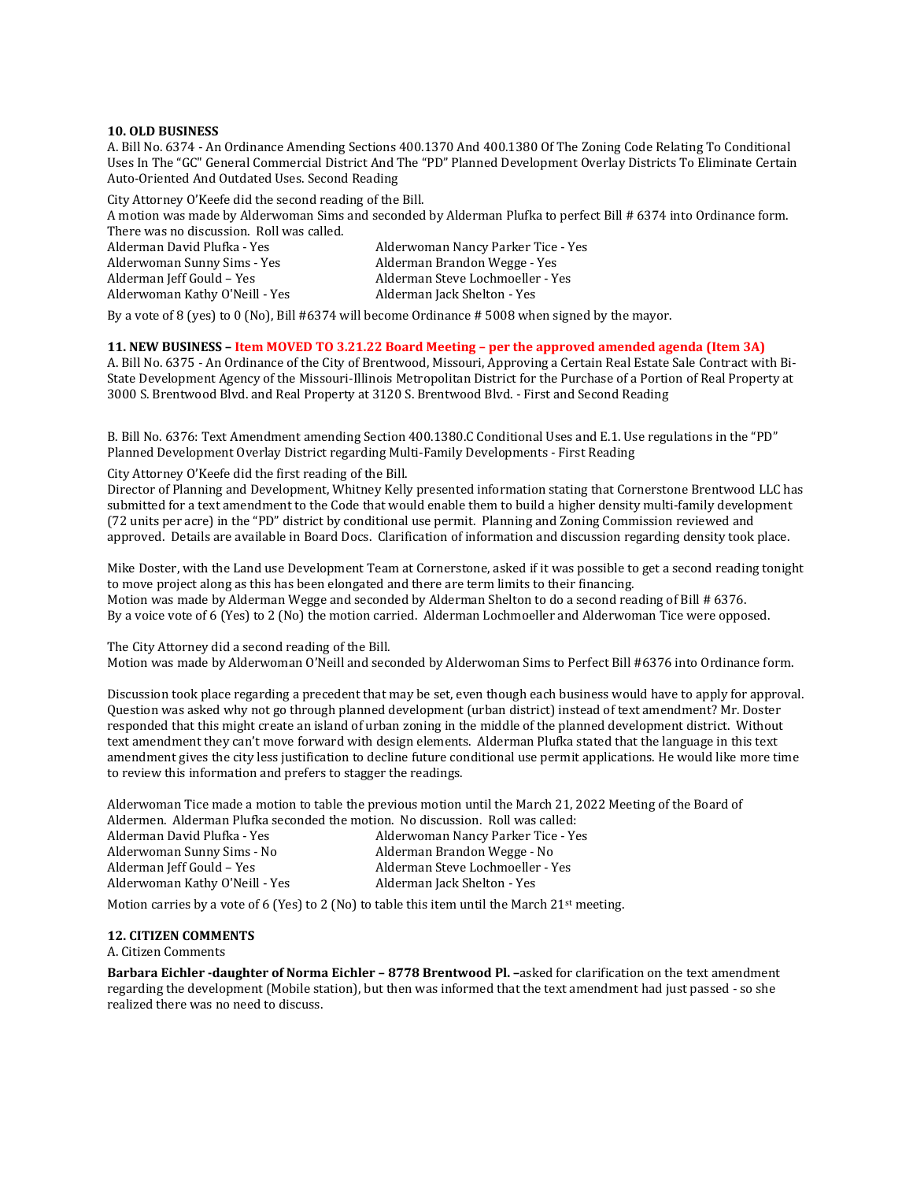#### **10. OLD BUSINESS**

A. Bill No. 6374 - An Ordinance Amending Sections 400.1370 And 400.1380 Of The Zoning Code Relating To Conditional Uses In The "GC" General Commercial District And The "PD" Planned Development Overlay Districts To Eliminate Certain Auto-Oriented And Outdated Uses. Second Reading

City Attorney O'Keefe did the second reading of the Bill.

A motion was made by Alderwoman Sims and seconded by Alderman Plufka to perfect Bill # 6374 into Ordinance form. There was no discussion. Roll was called.

| Alderman David Plufka - Yes    | Alderwoman Nancy Parker Tice - Yes |
|--------------------------------|------------------------------------|
| Alderwoman Sunny Sims - Yes    | Alderman Brandon Wegge - Yes       |
| Alderman Jeff Gould - Yes      | Alderman Steve Lochmoeller - Yes   |
| Alderwoman Kathy O'Neill - Yes | Alderman Jack Shelton - Yes        |

By a vote of 8 (yes) to 0 (No), Bill #6374 will become Ordinance # 5008 when signed by the mayor.

**11. NEW BUSINESS – Item MOVED TO 3.21.22 Board Meeting – per the approved amended agenda (Item 3A)**

A. Bill No. 6375 - An Ordinance of the City of Brentwood, Missouri, Approving a Certain Real Estate Sale Contract with Bi-State Development Agency of the Missouri-Illinois Metropolitan District for the Purchase of a Portion of Real Property at 3000 S. Brentwood Blvd. and Real Property at 3120 S. Brentwood Blvd. - First and Second Reading

B. Bill No. 6376: Text Amendment amending Section 400.1380.C Conditional Uses and E.1. Use regulations in the "PD" Planned Development Overlay District regarding Multi-Family Developments - First Reading

City Attorney O'Keefe did the first reading of the Bill.

Director of Planning and Development, Whitney Kelly presented information stating that Cornerstone Brentwood LLC has submitted for a text amendment to the Code that would enable them to build a higher density multi-family development (72 units per acre) in the "PD" district by conditional use permit. Planning and Zoning Commission reviewed and approved. Details are available in Board Docs. Clarification of information and discussion regarding density took place.

Mike Doster, with the Land use Development Team at Cornerstone, asked if it was possible to get a second reading tonight to move project along as this has been elongated and there are term limits to their financing. Motion was made by Alderman Wegge and seconded by Alderman Shelton to do a second reading of Bill # 6376. By a voice vote of 6 (Yes) to 2 (No) the motion carried. Alderman Lochmoeller and Alderwoman Tice were opposed.

The City Attorney did a second reading of the Bill. Motion was made by Alderwoman O'Neill and seconded by Alderwoman Sims to Perfect Bill #6376 into Ordinance form.

Discussion took place regarding a precedent that may be set, even though each business would have to apply for approval. Question was asked why not go through planned development (urban district) instead of text amendment? Mr. Doster responded that this might create an island of urban zoning in the middle of the planned development district. Without text amendment they can't move forward with design elements. Alderman Plufka stated that the language in this text amendment gives the city less justification to decline future conditional use permit applications. He would like more time to review this information and prefers to stagger the readings.

Alderwoman Tice made a motion to table the previous motion until the March 21, 2022 Meeting of the Board of Aldermen. Alderman Plufka seconded the motion. No discussion. Roll was called:

| Alderman David Plufka - Yes    | Alderwoman Nancy Parker Tice - Yes |
|--------------------------------|------------------------------------|
| Alderwoman Sunny Sims - No     | Alderman Brandon Wegge - No        |
| Alderman Jeff Gould - Yes      | Alderman Steve Lochmoeller - Yes   |
| Alderwoman Kathy O'Neill - Yes | Alderman Jack Shelton - Yes        |
|                                |                                    |

Motion carries by a vote of 6 (Yes) to 2 (No) to table this item until the March  $21<sup>st</sup>$  meeting.

## **12. CITIZEN COMMENTS**

A. Citizen Comments

**Barbara Eichler -daughter of Norma Eichler – 8778 Brentwood Pl. –**asked for clarification on the text amendment regarding the development (Mobile station), but then was informed that the text amendment had just passed - so she realized there was no need to discuss.